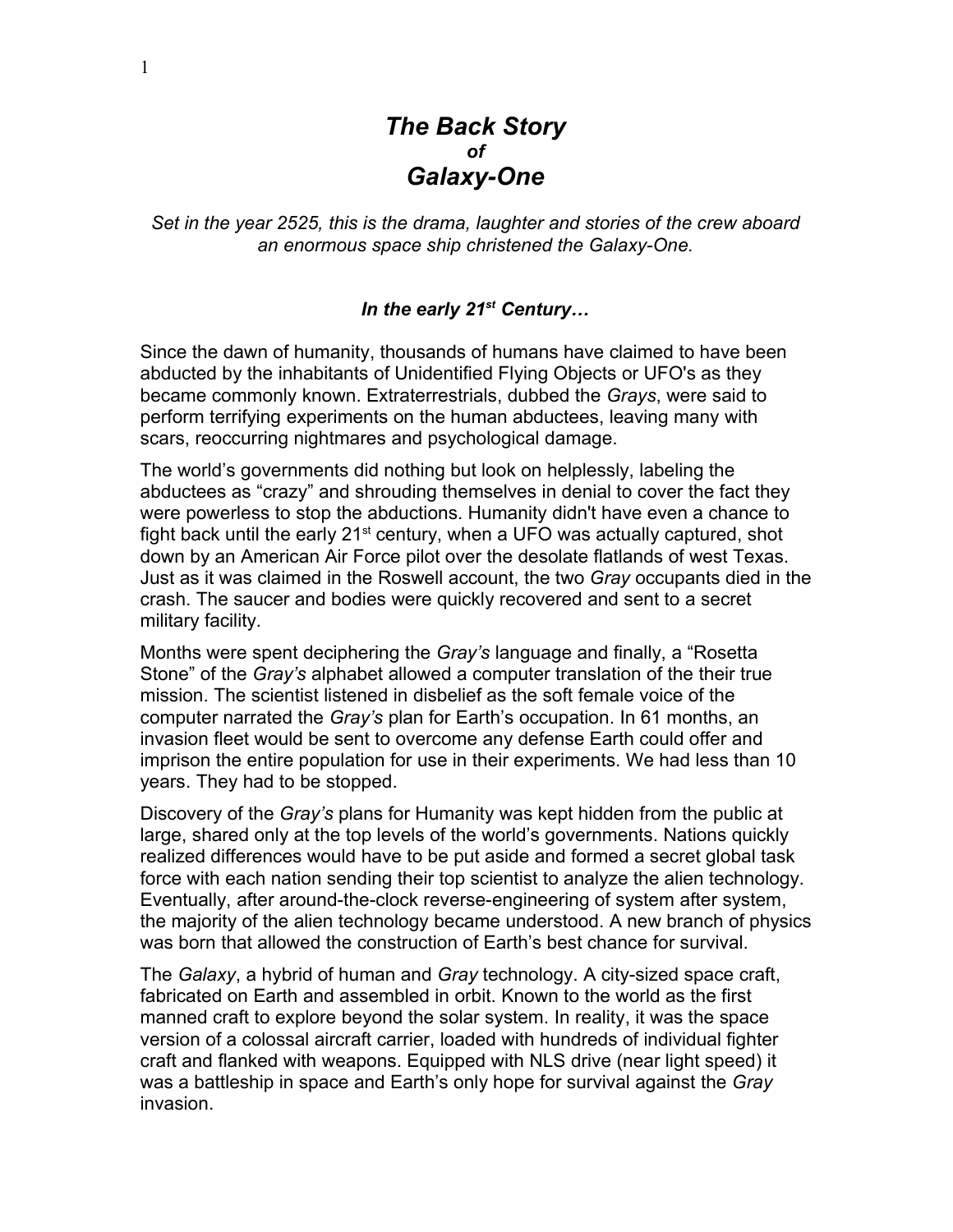# *The Back Story of Galaxy-One*

*Set in the year 2525, this is the drama, laughter and stories of the crew aboard an enormous space ship christened the Galaxy-One.*

### In the early 21<sup>st</sup> Century...

Since the dawn of humanity, thousands of humans have claimed to have been abducted by the inhabitants of Unidentified Flying Objects or UFO's as they became commonly known. Extraterrestrials, dubbed the *Grays*, were said to perform terrifying experiments on the human abductees, leaving many with scars, reoccurring nightmares and psychological damage.

The world's governments did nothing but look on helplessly, labeling the abductees as "crazy" and shrouding themselves in denial to cover the fact they were powerless to stop the abductions. Humanity didn't have even a chance to fight back until the early  $21<sup>st</sup>$  century, when a UFO was actually captured, shot down by an American Air Force pilot over the desolate flatlands of west Texas. Just as it was claimed in the Roswell account, the two *Gray* occupants died in the crash. The saucer and bodies were quickly recovered and sent to a secret military facility.

Months were spent deciphering the *Gray's* language and finally, a "Rosetta Stone" of the *Gray's* alphabet allowed a computer translation of the their true mission. The scientist listened in disbelief as the soft female voice of the computer narrated the *Gray's* plan for Earth's occupation. In 61 months, an invasion fleet would be sent to overcome any defense Earth could offer and imprison the entire population for use in their experiments. We had less than 10 years. They had to be stopped.

Discovery of the *Gray's* plans for Humanity was kept hidden from the public at large, shared only at the top levels of the world's governments. Nations quickly realized differences would have to be put aside and formed a secret global task force with each nation sending their top scientist to analyze the alien technology. Eventually, after around-the-clock reverse-engineering of system after system, the majority of the alien technology became understood. A new branch of physics was born that allowed the construction of Earth's best chance for survival.

The *Galaxy*, a hybrid of human and *Gray* technology. A city-sized space craft, fabricated on Earth and assembled in orbit. Known to the world as the first manned craft to explore beyond the solar system. In reality, it was the space version of a colossal aircraft carrier, loaded with hundreds of individual fighter craft and flanked with weapons. Equipped with NLS drive (near light speed) it was a battleship in space and Earth's only hope for survival against the *Gray* invasion.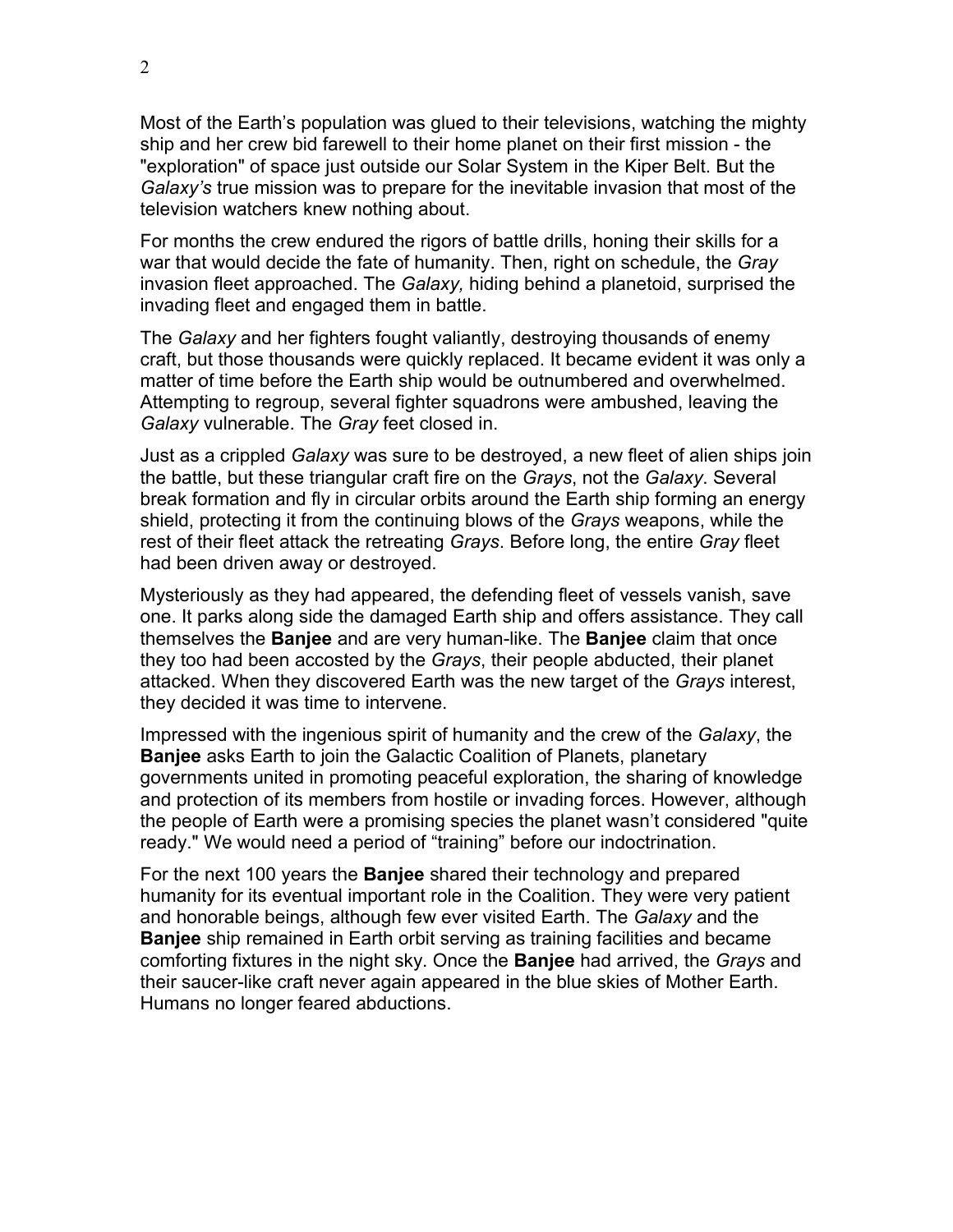Most of the Earth's population was glued to their televisions, watching the mighty ship and her crew bid farewell to their home planet on their first mission - the "exploration" of space just outside our Solar System in the Kiper Belt. But the *Galaxy's* true mission was to prepare for the inevitable invasion that most of the television watchers knew nothing about.

For months the crew endured the rigors of battle drills, honing their skills for a war that would decide the fate of humanity. Then, right on schedule, the *Gray* invasion fleet approached. The *Galaxy,* hiding behind a planetoid, surprised the invading fleet and engaged them in battle.

The *Galaxy* and her fighters fought valiantly, destroying thousands of enemy craft, but those thousands were quickly replaced. It became evident it was only a matter of time before the Earth ship would be outnumbered and overwhelmed. Attempting to regroup, several fighter squadrons were ambushed, leaving the *Galaxy* vulnerable. The *Gray* feet closed in.

Just as a crippled *Galaxy* was sure to be destroyed, a new fleet of alien ships join the battle, but these triangular craft fire on the *Grays*, not the *Galaxy*. Several break formation and fly in circular orbits around the Earth ship forming an energy shield, protecting it from the continuing blows of the *Grays* weapons, while the rest of their fleet attack the retreating *Grays*. Before long, the entire *Gray* fleet had been driven away or destroyed.

Mysteriously as they had appeared, the defending fleet of vessels vanish, save one. It parks along side the damaged Earth ship and offers assistance. They call themselves the **Banjee** and are very human-like. The **Banjee** claim that once they too had been accosted by the *Grays*, their people abducted, their planet attacked. When they discovered Earth was the new target of the *Grays* interest, they decided it was time to intervene.

Impressed with the ingenious spirit of humanity and the crew of the *Galaxy*, the **Banjee** asks Earth to join the Galactic Coalition of Planets, planetary governments united in promoting peaceful exploration, the sharing of knowledge and protection of its members from hostile or invading forces. However, although the people of Earth were a promising species the planet wasn't considered "quite ready." We would need a period of "training" before our indoctrination.

For the next 100 years the **Banjee** shared their technology and prepared humanity for its eventual important role in the Coalition. They were very patient and honorable beings, although few ever visited Earth. The *Galaxy* and the **Banjee** ship remained in Earth orbit serving as training facilities and became comforting fixtures in the night sky. Once the **Banjee** had arrived, the *Grays* and their saucer-like craft never again appeared in the blue skies of Mother Earth. Humans no longer feared abductions.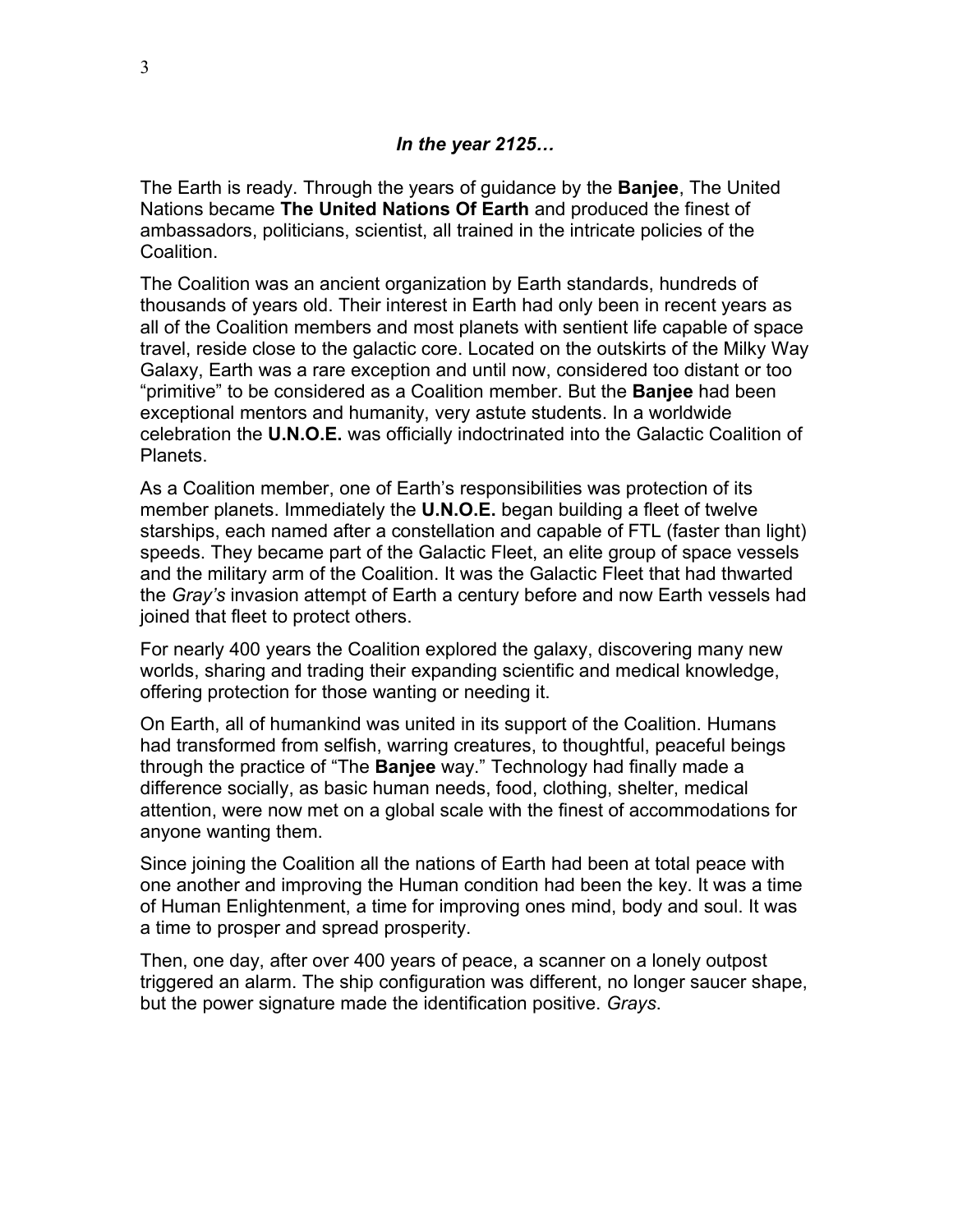#### *In the year 2125…*

The Earth is ready. Through the years of guidance by the **Banjee**, The United Nations became **The United Nations Of Earth** and produced the finest of ambassadors, politicians, scientist, all trained in the intricate policies of the Coalition.

The Coalition was an ancient organization by Earth standards, hundreds of thousands of years old. Their interest in Earth had only been in recent years as all of the Coalition members and most planets with sentient life capable of space travel, reside close to the galactic core. Located on the outskirts of the Milky Way Galaxy, Earth was a rare exception and until now, considered too distant or too "primitive" to be considered as a Coalition member. But the **Banjee** had been exceptional mentors and humanity, very astute students. In a worldwide celebration the **U.N.O.E.** was officially indoctrinated into the Galactic Coalition of Planets.

As a Coalition member, one of Earth's responsibilities was protection of its member planets. Immediately the **U.N.O.E.** began building a fleet of twelve starships, each named after a constellation and capable of FTL (faster than light) speeds. They became part of the Galactic Fleet, an elite group of space vessels and the military arm of the Coalition. It was the Galactic Fleet that had thwarted the *Gray's* invasion attempt of Earth a century before and now Earth vessels had joined that fleet to protect others.

For nearly 400 years the Coalition explored the galaxy, discovering many new worlds, sharing and trading their expanding scientific and medical knowledge, offering protection for those wanting or needing it.

On Earth, all of humankind was united in its support of the Coalition. Humans had transformed from selfish, warring creatures, to thoughtful, peaceful beings through the practice of "The **Banjee** way." Technology had finally made a difference socially, as basic human needs, food, clothing, shelter, medical attention, were now met on a global scale with the finest of accommodations for anyone wanting them.

Since joining the Coalition all the nations of Earth had been at total peace with one another and improving the Human condition had been the key. It was a time of Human Enlightenment, a time for improving ones mind, body and soul. It was a time to prosper and spread prosperity.

Then, one day, after over 400 years of peace, a scanner on a lonely outpost triggered an alarm. The ship configuration was different, no longer saucer shape, but the power signature made the identification positive. *Grays*.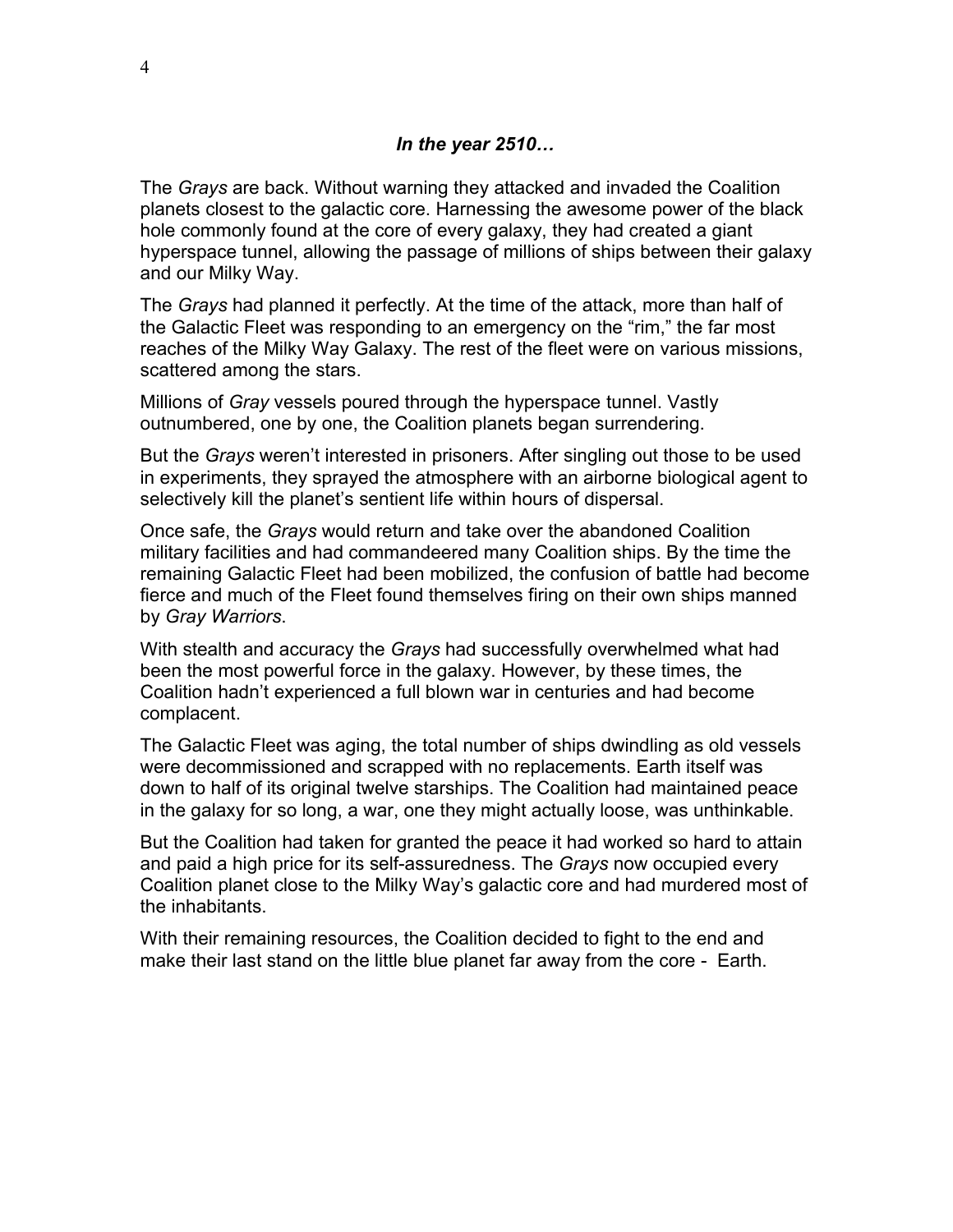#### *In the year 2510…*

The *Grays* are back. Without warning they attacked and invaded the Coalition planets closest to the galactic core. Harnessing the awesome power of the black hole commonly found at the core of every galaxy, they had created a giant hyperspace tunnel, allowing the passage of millions of ships between their galaxy and our Milky Way.

The *Grays* had planned it perfectly. At the time of the attack, more than half of the Galactic Fleet was responding to an emergency on the "rim," the far most reaches of the Milky Way Galaxy. The rest of the fleet were on various missions, scattered among the stars.

Millions of *Gray* vessels poured through the hyperspace tunnel. Vastly outnumbered, one by one, the Coalition planets began surrendering.

But the *Grays* weren't interested in prisoners. After singling out those to be used in experiments, they sprayed the atmosphere with an airborne biological agent to selectively kill the planet's sentient life within hours of dispersal.

Once safe, the *Grays* would return and take over the abandoned Coalition military facilities and had commandeered many Coalition ships. By the time the remaining Galactic Fleet had been mobilized, the confusion of battle had become fierce and much of the Fleet found themselves firing on their own ships manned by *Gray Warriors*.

With stealth and accuracy the *Grays* had successfully overwhelmed what had been the most powerful force in the galaxy. However, by these times, the Coalition hadn't experienced a full blown war in centuries and had become complacent.

The Galactic Fleet was aging, the total number of ships dwindling as old vessels were decommissioned and scrapped with no replacements. Earth itself was down to half of its original twelve starships. The Coalition had maintained peace in the galaxy for so long, a war, one they might actually loose, was unthinkable.

But the Coalition had taken for granted the peace it had worked so hard to attain and paid a high price for its self-assuredness. The *Grays* now occupied every Coalition planet close to the Milky Way's galactic core and had murdered most of the inhabitants.

With their remaining resources, the Coalition decided to fight to the end and make their last stand on the little blue planet far away from the core - Earth.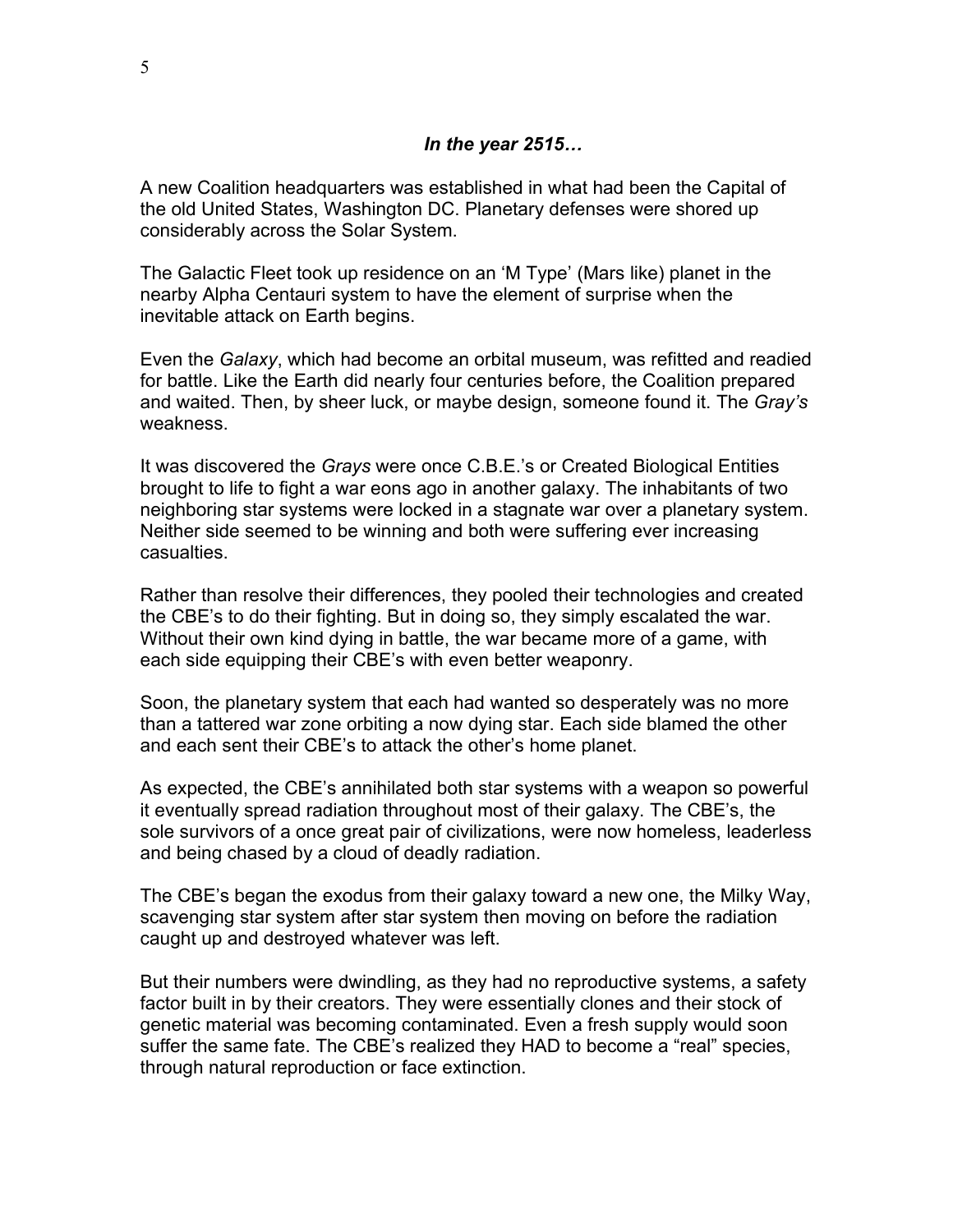#### *In the year 2515…*

A new Coalition headquarters was established in what had been the Capital of the old United States, Washington DC. Planetary defenses were shored up considerably across the Solar System.

The Galactic Fleet took up residence on an 'M Type' (Mars like) planet in the nearby Alpha Centauri system to have the element of surprise when the inevitable attack on Earth begins.

Even the *Galaxy*, which had become an orbital museum, was refitted and readied for battle. Like the Earth did nearly four centuries before, the Coalition prepared and waited. Then, by sheer luck, or maybe design, someone found it. The *Gray's* weakness.

It was discovered the *Grays* were once C.B.E.'s or Created Biological Entities brought to life to fight a war eons ago in another galaxy. The inhabitants of two neighboring star systems were locked in a stagnate war over a planetary system. Neither side seemed to be winning and both were suffering ever increasing casualties.

Rather than resolve their differences, they pooled their technologies and created the CBE's to do their fighting. But in doing so, they simply escalated the war. Without their own kind dying in battle, the war became more of a game, with each side equipping their CBE's with even better weaponry.

Soon, the planetary system that each had wanted so desperately was no more than a tattered war zone orbiting a now dying star. Each side blamed the other and each sent their CBE's to attack the other's home planet.

As expected, the CBE's annihilated both star systems with a weapon so powerful it eventually spread radiation throughout most of their galaxy. The CBE's, the sole survivors of a once great pair of civilizations, were now homeless, leaderless and being chased by a cloud of deadly radiation.

The CBE's began the exodus from their galaxy toward a new one, the Milky Way, scavenging star system after star system then moving on before the radiation caught up and destroyed whatever was left.

But their numbers were dwindling, as they had no reproductive systems, a safety factor built in by their creators. They were essentially clones and their stock of genetic material was becoming contaminated. Even a fresh supply would soon suffer the same fate. The CBE's realized they HAD to become a "real" species, through natural reproduction or face extinction.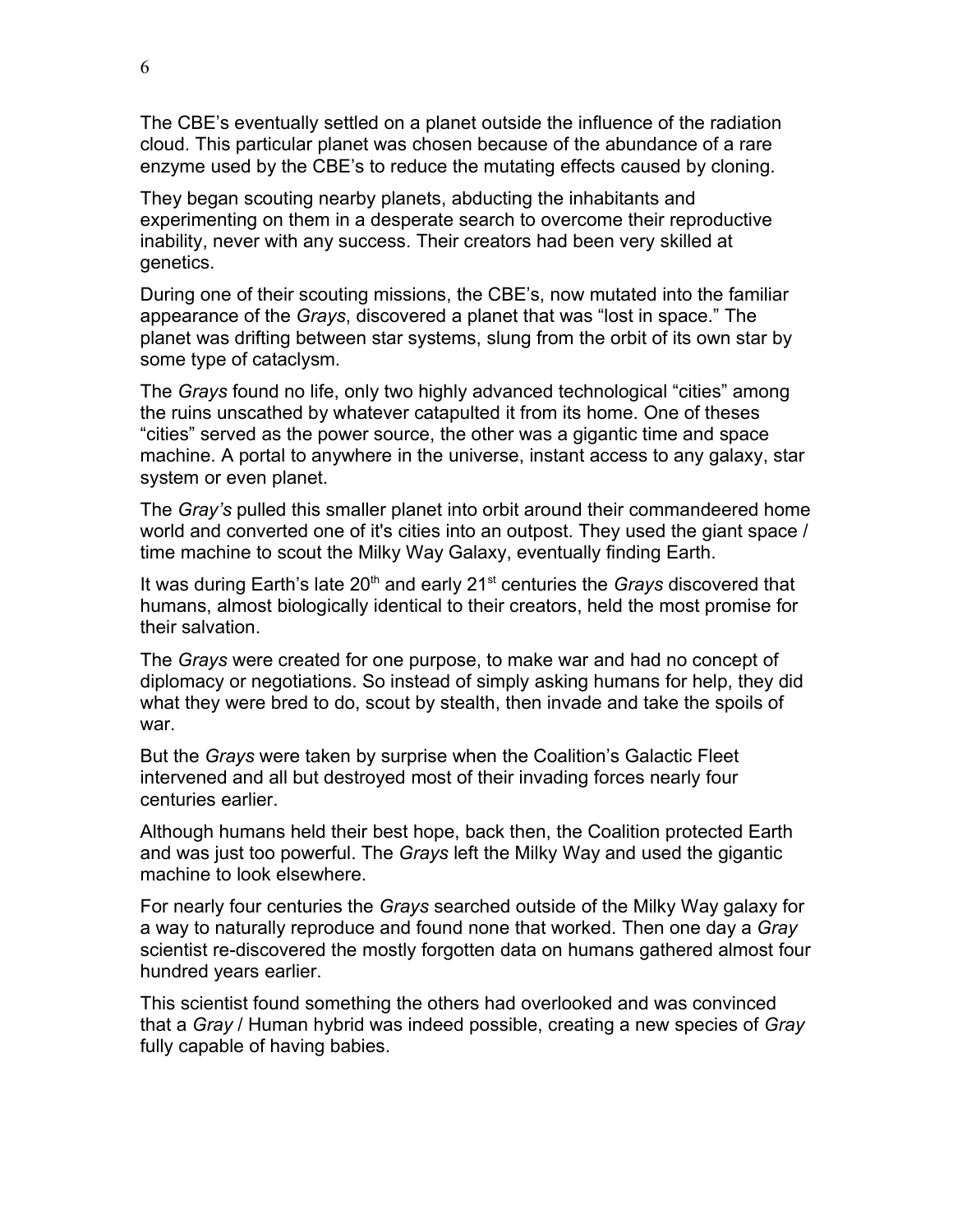The CBE's eventually settled on a planet outside the influence of the radiation cloud. This particular planet was chosen because of the abundance of a rare enzyme used by the CBE's to reduce the mutating effects caused by cloning.

They began scouting nearby planets, abducting the inhabitants and experimenting on them in a desperate search to overcome their reproductive inability, never with any success. Their creators had been very skilled at genetics.

During one of their scouting missions, the CBE's, now mutated into the familiar appearance of the *Grays*, discovered a planet that was "lost in space." The planet was drifting between star systems, slung from the orbit of its own star by some type of cataclysm.

The *Grays* found no life, only two highly advanced technological "cities" among the ruins unscathed by whatever catapulted it from its home. One of theses "cities" served as the power source, the other was a gigantic time and space machine. A portal to anywhere in the universe, instant access to any galaxy, star system or even planet.

The *Gray's* pulled this smaller planet into orbit around their commandeered home world and converted one of it's cities into an outpost. They used the giant space / time machine to scout the Milky Way Galaxy, eventually finding Earth.

It was during Earth's late 20<sup>th</sup> and early 21<sup>st</sup> centuries the *Grays* discovered that humans, almost biologically identical to their creators, held the most promise for their salvation.

The *Grays* were created for one purpose, to make war and had no concept of diplomacy or negotiations. So instead of simply asking humans for help, they did what they were bred to do, scout by stealth, then invade and take the spoils of war.

But the *Grays* were taken by surprise when the Coalition's Galactic Fleet intervened and all but destroyed most of their invading forces nearly four centuries earlier.

Although humans held their best hope, back then, the Coalition protected Earth and was just too powerful. The *Grays* left the Milky Way and used the gigantic machine to look elsewhere.

For nearly four centuries the *Grays* searched outside of the Milky Way galaxy for a way to naturally reproduce and found none that worked. Then one day a *Gray* scientist re-discovered the mostly forgotten data on humans gathered almost four hundred years earlier.

This scientist found something the others had overlooked and was convinced that a *Gray* / Human hybrid was indeed possible, creating a new species of *Gray* fully capable of having babies.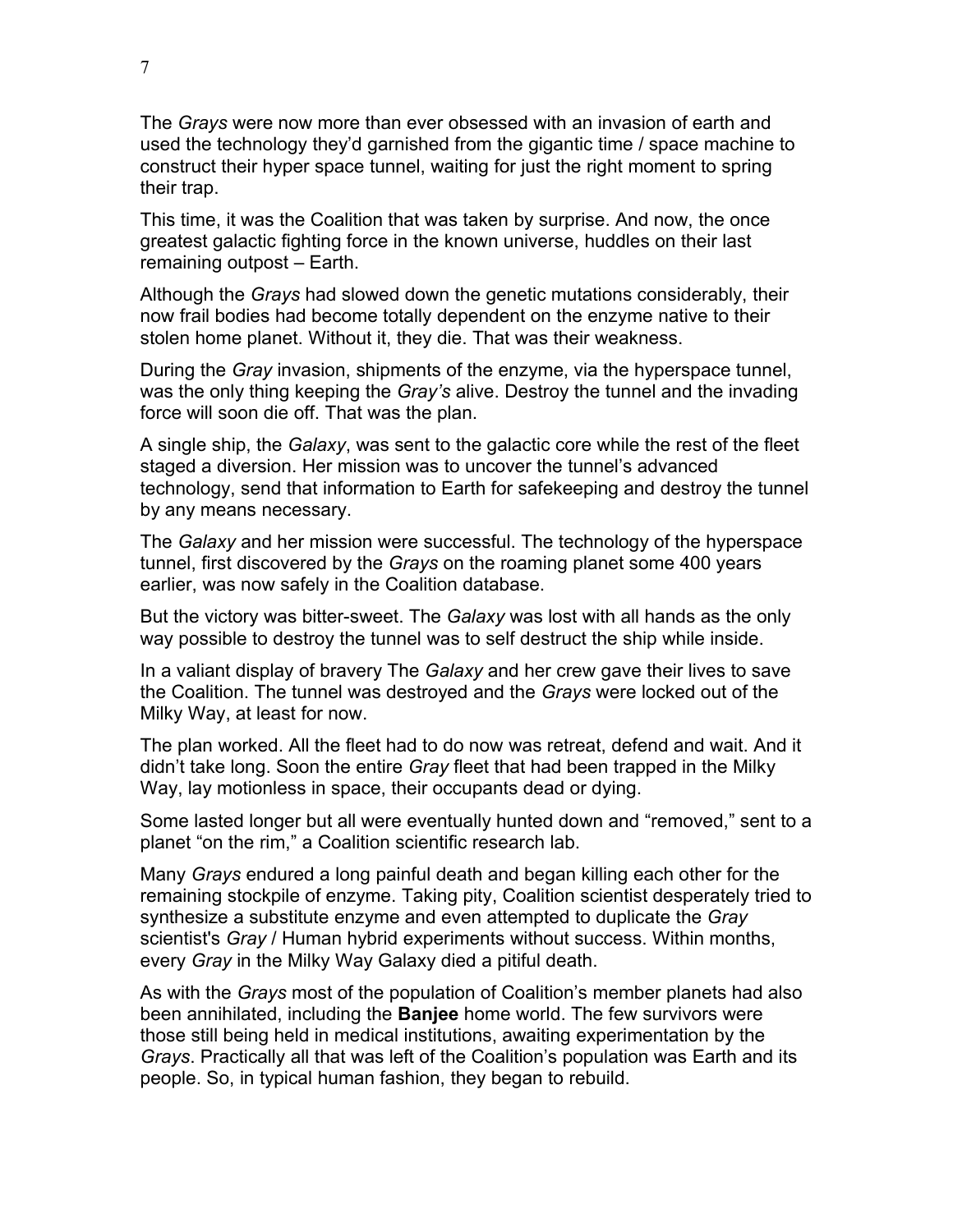The *Grays* were now more than ever obsessed with an invasion of earth and used the technology they'd garnished from the gigantic time / space machine to construct their hyper space tunnel, waiting for just the right moment to spring their trap.

This time, it was the Coalition that was taken by surprise. And now, the once greatest galactic fighting force in the known universe, huddles on their last remaining outpost – Earth.

Although the *Grays* had slowed down the genetic mutations considerably, their now frail bodies had become totally dependent on the enzyme native to their stolen home planet. Without it, they die. That was their weakness.

During the *Gray* invasion, shipments of the enzyme, via the hyperspace tunnel, was the only thing keeping the *Gray's* alive. Destroy the tunnel and the invading force will soon die off. That was the plan.

A single ship, the *Galaxy*, was sent to the galactic core while the rest of the fleet staged a diversion. Her mission was to uncover the tunnel's advanced technology, send that information to Earth for safekeeping and destroy the tunnel by any means necessary.

The *Galaxy* and her mission were successful. The technology of the hyperspace tunnel, first discovered by the *Grays* on the roaming planet some 400 years earlier, was now safely in the Coalition database.

But the victory was bitter-sweet. The *Galaxy* was lost with all hands as the only way possible to destroy the tunnel was to self destruct the ship while inside.

In a valiant display of bravery The *Galaxy* and her crew gave their lives to save the Coalition. The tunnel was destroyed and the *Grays* were locked out of the Milky Way, at least for now.

The plan worked. All the fleet had to do now was retreat, defend and wait. And it didn't take long. Soon the entire *Gray* fleet that had been trapped in the Milky Way, lay motionless in space, their occupants dead or dying.

Some lasted longer but all were eventually hunted down and "removed," sent to a planet "on the rim," a Coalition scientific research lab.

Many *Grays* endured a long painful death and began killing each other for the remaining stockpile of enzyme. Taking pity, Coalition scientist desperately tried to synthesize a substitute enzyme and even attempted to duplicate the *Gray* scientist's *Gray* / Human hybrid experiments without success. Within months, every *Gray* in the Milky Way Galaxy died a pitiful death.

As with the *Grays* most of the population of Coalition's member planets had also been annihilated, including the **Banjee** home world. The few survivors were those still being held in medical institutions, awaiting experimentation by the *Grays*. Practically all that was left of the Coalition's population was Earth and its people. So, in typical human fashion, they began to rebuild.